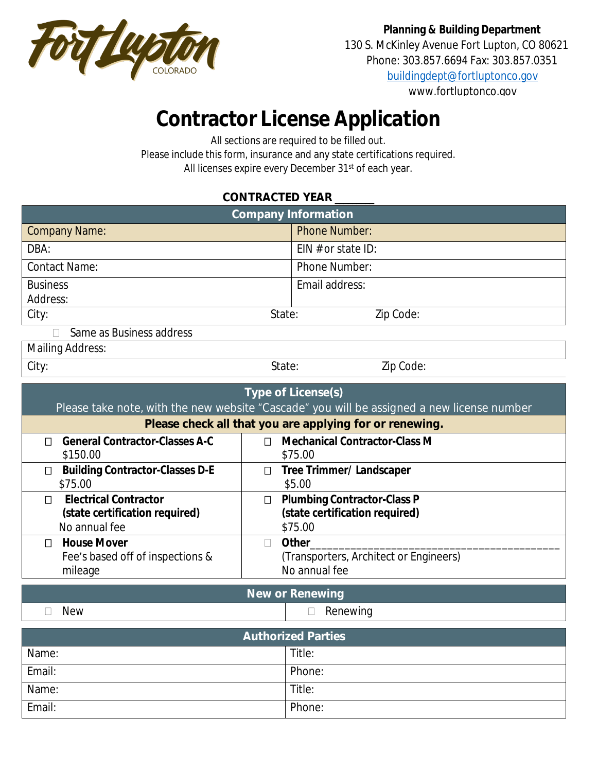

**Planning & Building Department** 130 S. McKinley Avenue Fort Lupton, CO 80621

Phone: 303.857.6694 Fax: 303.857.0351

[buildingdept@fortluptonco.gov](mailto:buildingdept@fortluptonco.gov)

www.fortluptonco.gov

## **Contractor License Application**

All sections are required to be filled out.

Please include this form, insurance and any state certifications required. All licenses expire every December 31<sup>st</sup> of each year.

## **CONTRACTED YEAR \_\_\_\_\_\_\_\_\_**

| <b>Company Information</b>                                                                                                                                                         |                                                                                           |  |  |
|------------------------------------------------------------------------------------------------------------------------------------------------------------------------------------|-------------------------------------------------------------------------------------------|--|--|
| <b>Company Name:</b>                                                                                                                                                               | <b>Phone Number:</b>                                                                      |  |  |
| DBA:                                                                                                                                                                               | EIN $#$ or state ID:                                                                      |  |  |
| <b>Contact Name:</b>                                                                                                                                                               | Phone Number:                                                                             |  |  |
| <b>Business</b>                                                                                                                                                                    | Email address:                                                                            |  |  |
| Address:                                                                                                                                                                           |                                                                                           |  |  |
| City:                                                                                                                                                                              | Zip Code:<br>State:                                                                       |  |  |
| Same as Business address                                                                                                                                                           |                                                                                           |  |  |
| <b>Mailing Address:</b>                                                                                                                                                            |                                                                                           |  |  |
| City:                                                                                                                                                                              | State:<br>Zip Code:                                                                       |  |  |
| <b>Type of License(s)</b><br>Please take note, with the new website "Cascade" you will be assigned a new license number<br>Please check all that you are applying for or renewing. |                                                                                           |  |  |
| <b>General Contractor-Classes A-C</b><br>$\Box$<br>\$150.00                                                                                                                        | <b>Mechanical Contractor-Class M</b><br>П<br>\$75.00                                      |  |  |
| <b>Building Contractor-Classes D-E</b><br>$\Box$<br>\$75.00                                                                                                                        | <b>Tree Trimmer/ Landscaper</b><br>$\Box$<br>\$5.00                                       |  |  |
| <b>Electrical Contractor</b><br>П<br>(state certification required)<br>No annual fee                                                                                               | <b>Plumbing Contractor-Class P</b><br>$\Box$<br>(state certification required)<br>\$75.00 |  |  |
| <b>House Mover</b><br>П                                                                                                                                                            | Other<br>$\Box$                                                                           |  |  |
| Fee's based off of inspections &                                                                                                                                                   | (Transporters, Architect or Engineers)                                                    |  |  |
| mileage                                                                                                                                                                            | No annual fee                                                                             |  |  |

**New or Renewing**

 $\Box$  New  $\Box$  New

| <b>Authorized Parties</b> |        |  |
|---------------------------|--------|--|
| Name:                     | Title: |  |
| Email:                    | Phone: |  |
| Name:                     | Title: |  |
| Email:                    | Phone: |  |